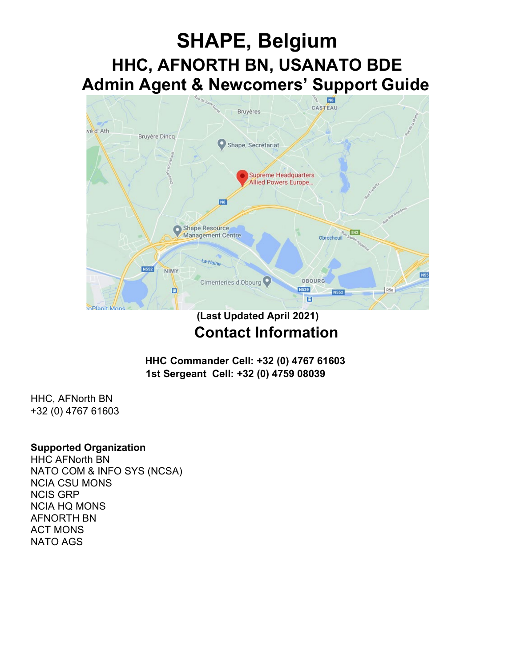# **SHAPE, Belgium HHC, AFNORTH BN, USANATO BDE Admin Agent & Newcomers' Support Guide**



## **(Last Updated April 2021) Contact Information**

**HHC Commander Cell: +32 (0) 4767 61603 1st Sergeant Cell: +32 (0) 4759 08039**

HHC, AFNorth BN +32 (0) 4767 61603

#### **Supported Organization**

HHC AFNorth BN NATO COM & INFO SYS (NCSA) NCIA CSU MONS NCIS GRP NCIA HQ MONS AFNORTH BN ACT MONS NATO AGS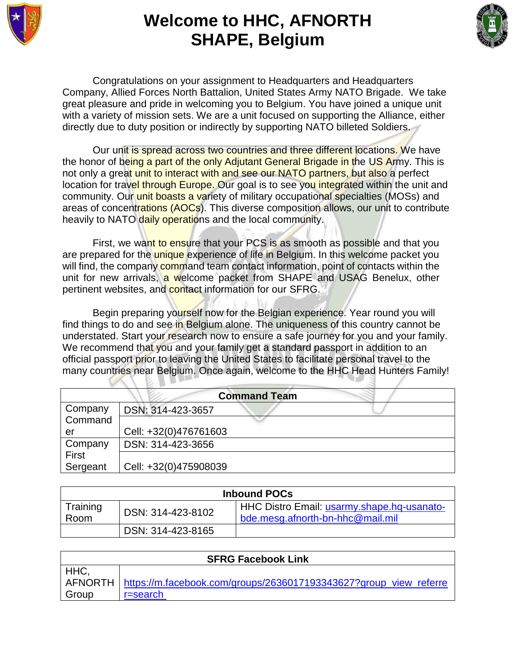

## **Welcome to HHC, AFNORTH SHAPE, Belgium**



Congratulations on your assignment to Headquarters and Headquarters Company, Allied Forces North Battalion, United States Army NATO Brigade. We take great pleasure and pride in welcoming you to Belgium. You have joined a unique unit with a variety of mission sets. We are a unit focused on supporting the Alliance, either directly due to duty position or indirectly by supporting NATO billeted Soldiers.

Our unit is spread across two countries and three different locations. We have the honor of being a part of the only Adjutant General Brigade in the US Army. This is not only a great unit to interact with and see our NATO partners, but also a perfect location for travel through Europe. Our goal is to see you integrated within the unit and community. Our unit boasts a variety of military occupational specialties (MOSs) and areas of concentrations (AOCs). This diverse composition allows, our unit to contribute heavily to NATO daily operations and the local community.

First, we want to ensure that your PCS is as smooth as possible and that you are prepared for the *unique* experience of life in Belgium. In this welcome packet you will find, the company command team contact information, point of contacts within the unit for new arrivals, a welcome packet from SHAPE and USAG Benelux, other pertinent websites, and contact information for our SFRG.

Begin preparing yourself now for the Belgian experience. Year round you will find things to do and see in Belgium alone. The uniqueness of this country cannot be understated. Start your research now to ensure a safe journey for you and your family. We recommend that you and your family get a standard passport in addition to an official passport prior to leaving the United States to facilitate personal travel to the many countries near Belgium. Once again, welcome to the HHC Head Hunters Family!

| <b>Command Team</b> |                       |  |  |  |
|---------------------|-----------------------|--|--|--|
| Company             | DSN: 314-423-3657     |  |  |  |
| Command             |                       |  |  |  |
| er                  | Cell: +32(0)476761603 |  |  |  |
| Company             | DSN: 314-423-3656     |  |  |  |
| First               |                       |  |  |  |
| Sergeant            | Cell: +32(0)475908039 |  |  |  |

| <b>Inbound POCs</b> |                   |                                                                                |  |
|---------------------|-------------------|--------------------------------------------------------------------------------|--|
| Training<br>Room    | DSN: 314-423-8102 | HHC Distro Email: usarmy.shape.hq-usanato-<br>bde.mesq.afnorth-bn-hhc@mail.mil |  |
|                     | DSN: 314-423-8165 |                                                                                |  |

| <b>SFRG Facebook Link</b> |                                                                             |  |  |  |
|---------------------------|-----------------------------------------------------------------------------|--|--|--|
| HHC,                      |                                                                             |  |  |  |
|                           | AFNORTH   https://m.facebook.com/groups/2636017193343627?group_view_referre |  |  |  |
| Group                     | r=search                                                                    |  |  |  |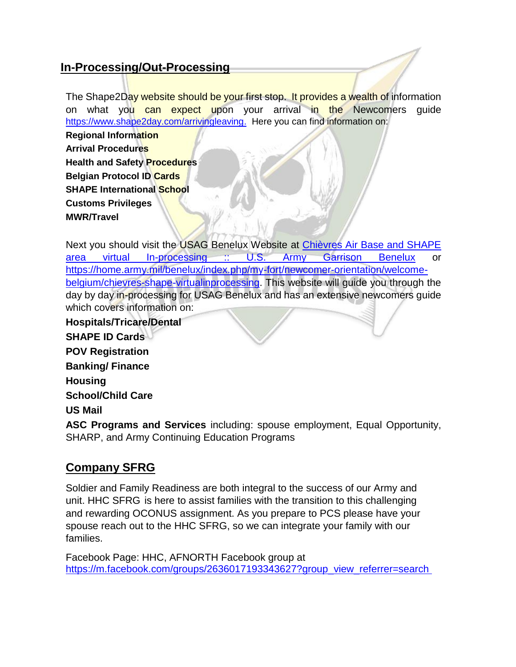#### **In-Processing/Out-Processing**

The Shape2Day website should be your first stop. It provides a wealth of information on what you can expect upon your arrival in the Newcomers guide [https://www.shape2day.com/arrivingleaving.](https://www.shape2day.com/arrivingleaving) Here you can find information on:

**Regional Information Arrival Procedures Health and Safety Procedures Belgian Protocol ID Cards SHAPE International School Customs Privileges MWR/Travel**

Next you should visit the USAG Benelux Website at [Chièvres Air Base and SHAPE](https://home.army.mil/benelux/index.php/my-fort/newcomer-orientation/welcome-belgium/chievres-shape-virtualinprocessing)  area [virtual In-processing :: U.S. Army Garrison Benelux](https://home.army.mil/benelux/index.php/my-fort/newcomer-orientation/welcome-belgium/chievres-shape-virtualinprocessing) or [https://home.army.mil/benelux/index.php/my-fort/newcomer-orientation/welcome](https://home.army.mil/benelux/index.php/my-fort/newcomer-orientation/welcome-belgium/chievres-shape-virtualinprocessing)[belgium/chievres-shape-virtualinprocessing.](https://home.army.mil/benelux/index.php/my-fort/newcomer-orientation/welcome-belgium/chievres-shape-virtualinprocessing) This website will guide you through the day by day in-processing for USAG Benelux and has an extensive newcomers guide which covers information on:

**Hospitals/Tricare/Dental SHAPE ID Cards POV Registration Banking/ Finance Housing School/Child Care US Mail ASC Programs and Services** including: spouse employment, Equal Opportunity, SHARP, and Army Continuing Education Programs

### **Company SFRG**

Soldier and Family Readiness are both integral to the success of our Army and unit. HHC SFRG is here to assist families with the transition to this challenging and rewarding OCONUS assignment. As you prepare to PCS please have your spouse reach out to the HHC SFRG, so we can integrate your family with our families.

Facebook Page: HHC, AFNORTH Facebook group at [https://m.facebook.com/groups/2636017193343627?group\\_view\\_referrer=search](https://m.facebook.com/groups/2636017193343627?group_view_referrer=search )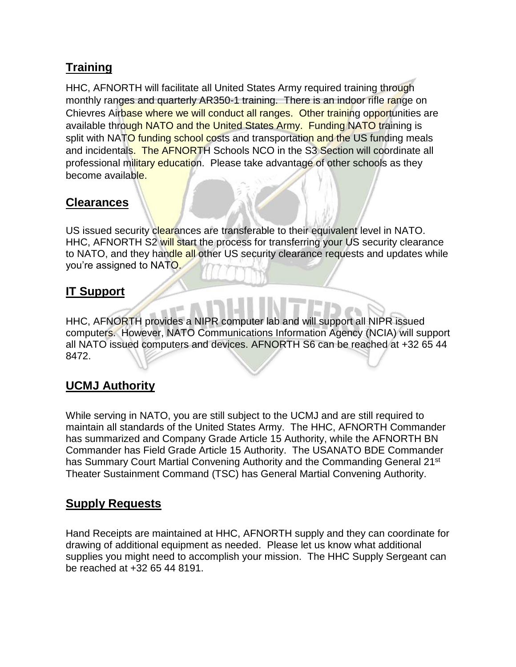#### **Training**

HHC, AFNORTH will facilitate all United States Army required training through monthly ranges and quarterly AR350-1 training. There is an indoor rifle range on Chievres Airbase where we will conduct all ranges. Other training opportunities are available through NATO and the United States Army. Funding NATO training is split with NATO funding school costs and transportation and the US funding meals and incidentals. The AFNORTH Schools NCO in the S3 Section will coordinate all professional military education. Please take advantage of other schools as they become available.

#### **Clearances**

US issued security clearances are transferable to their equivalent level in NATO. HHC, AFNORTH S2 will start the process for transferring your US security clearance to NATO, and they handle all other US security clearance requests and updates while you're assigned to NATO.

#### **IT Support**

HHC, AFNORTH provides a NIPR computer lab and will support all NIPR issued computers. However, NATO Communications Information Agency (NCIA) will support all NATO issued computers and devices. AFNORTH S6 can be reached at +32 65 44 8472.

#### **UCMJ Authority**

While serving in NATO, you are still subject to the UCMJ and are still required to maintain all standards of the United States Army. The HHC, AFNORTH Commander has summarized and Company Grade Article 15 Authority, while the AFNORTH BN Commander has Field Grade Article 15 Authority. The USANATO BDE Commander has Summary Court Martial Convening Authority and the Commanding General 21<sup>st</sup> Theater Sustainment Command (TSC) has General Martial Convening Authority.

#### **Supply Requests**

Hand Receipts are maintained at HHC, AFNORTH supply and they can coordinate for drawing of additional equipment as needed. Please let us know what additional supplies you might need to accomplish your mission. The HHC Supply Sergeant can be reached at +32 65 44 8191.